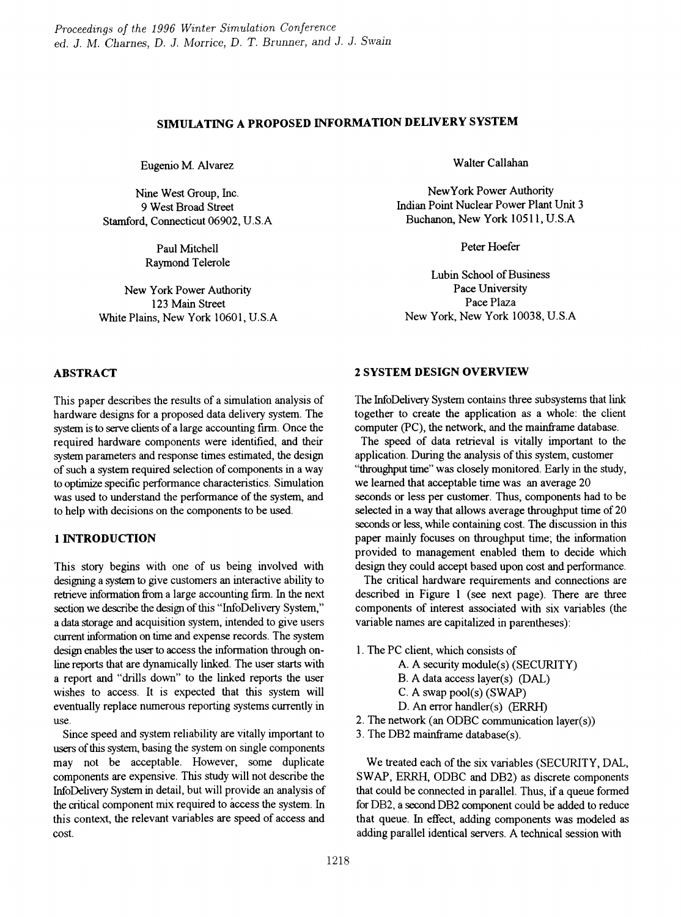# SIMULATING A PROPOSED INFORMATION DELIVERY SYSTEM

Eugenio M. Alvarez

Nine West Group, Inc. 9 West Broad Street Stamford, Connecticut 06902, U.S.A

> Paul Mitchell Raymond Telerole

New York Power Authority 123 Main Street White Plains, New York 10601, U.S.A Walter Callahan

NewYork Power Authority Indian Point Nuclear Power Plant Unit 3 Buchanon, New York 10511, U.S.A

Peter Hoefer

Lubin School of Business Pace University Pace Plaza New York, New York 10038, U.S.A

### ABSTRACT

This paper describes the results of a simulation analysis of hardware designs for a proposed data delivery system. The system is to serve clients of a large accounting firm. Once the required hardware components were identified, and their system parameters and response times estimated, the design of such a system required selection of components in a way to optimize specific perfonnance characteristics. Simulation was used to understand the performance of the system, and to help with decisions on the components to be used.

## 1 INTRODUCTION

This story begins with one of us being involved with designing a system to give customers an interactive ability to retrieve information from a large accounting firm. In the next section we describe the design of this "InfoDelivery System," a data storage and acquisition system, intended to give users current information on time and expense records. The system design enables the user to access the information through online reports that are dynamically linked. The user starts with a report and "drills down" to the linked reports the user wishes to access. It is expected that this system will eventually replace numerous reporting systems currently in use.

Since speed and system reliability are vitally important to users of this system, basing the system on single components may not be acceptable. However, some duplicate components are expensive. This study will not describe the InfoDelivery System in detail, but will provide an analysis of the critical component mix required to access the system. In this context, the relevant variables are speed of access and cost.

### 2 SYSTEM DESIGN OVERVIEW

The InfoDelivery System contains three subsystems that link together to create the application as a whole: the client computer (PC), the network, and the mainframe database.

The speed of data retrieval is vitally important to the application. During the analysis of this system, customer "throughput time" was closely monitored. Early in the study, we learned that acceptable time was an average 20 seconds or less per customer. Thus, components had to be selected in a way that allows average throughput time of 20 seconds or less, while containing cost. The discussion in this paper mainly focuses on throughput time; the information provided to management enabled them to decide which design they could accept based upon cost and performance.

The critical hardware requirements and connections are described in Figure 1 (see next page). There are three components of interest associated with six variables (the variable names are capitalized in parentheses):

1. The PC client, which consists of

- A. A security module(s) (SECURITY)
- B. A data access layer(s) (DAL)
- C. A swap pool(s) (SWAP)
- D. An error handler(s) (ERRH)
- 2. The network (an ODBC communication layer(s))
- 3. The DB2 mainframe database(s).

We treated each of the six variables (SECURITY, DAL, SWAP, ERRH, ODBC and DB2) as discrete components that could be connected in parallel. Thus, if a queue fonned for DB2, a second DB2 component could be added to reduce that queue. In effect, adding components was modeled as adding parallel identical servers. A technical session with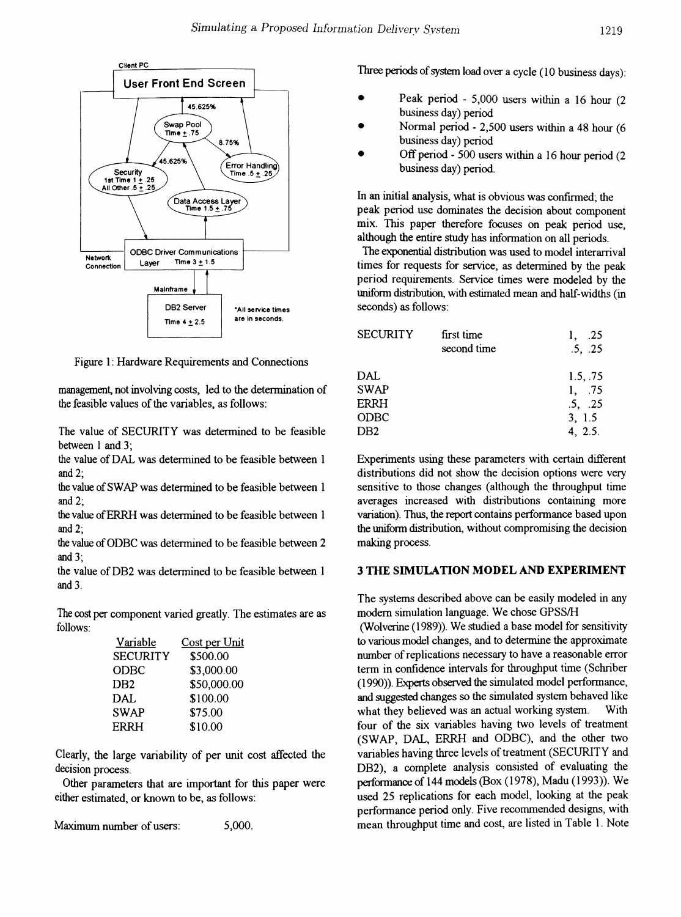

Figure 1: Hardware Requirements and Connections

management, not involving costs, led to the detennination of the feasible values of the variables, as follows:

The value of SECURITY was determined to be feasible between 1 and 3:

the value of DAL was determined to be feasible between 1 and 2;

the value of SWAP was determined to be feasible between 1 and  $2$ ;

the value of ERRH was determined to be feasible between 1 and 2;

the value of ODBC was determined to be feasible between 2 and 3;

the value of DB2 was determined to be feasible between 1 and 3.

The cost per component varied greatly. The estimates are as follows:

| <u>Variable</u> | Cost per Unit |
|-----------------|---------------|
| <b>SECURITY</b> | \$500.00      |
| ODBC            | \$3,000.00    |
| DB <sub>2</sub> | \$50,000.00   |
| <b>DAL</b>      | \$100.00      |
| <b>SWAP</b>     | \$75.00       |
| <b>ERRH</b>     | \$10.00       |

Clearly, the large variability of per unit cost affected the decision process.

Other parameters that are important for this paper were either estimated, or known to be, as follows:

Maximwn number of users: 5,000. Three periods of system load over a cycle (10 business days):

- Peak period 5,000 users within a 16 hour (2 business day) period •
- Normal period 2,500 users within a 48 hour (6 business day) period •
- Off period 500 users within a 16 hour period (2 business day) period. •

In an initial analysis, what is obvious was confirmed; the peak period use dominates the decision about component mix. This paper therefore focuses on peak period use, although the entire study has information on all periods.

The exponential distribution was used to model interarrival times for requests for service, as determined by the peak period requirements. Service times were modeled by the uniform distribution, with estimated mean and half-widths (in -All service times seconds) as follows:

| <b>SECURITY</b> | first time  | .25      |
|-----------------|-------------|----------|
|                 | second time | .5, .25  |
| DAL             |             | 1.5, .75 |
| <b>SWAP</b>     |             | 1, 75    |
| ERRH            |             | .5, .25  |
| ODBC            |             | 3, 1.5   |
| DB2             |             | 4, 2.5.  |

Experiments using these parameters with certain different distributions did not show the decision options were very sensitive to those changes (although the throughput time averages increased with distributions containing more variation). Thus, the report contains performance based upon the tmifonn distribution, without compromising the decision making process.

#### 3 THE SIMULATION MODEL AND EXPERIMENT

The systems described above can be easily modeled in any modern simulation language. We chose GPSSIH

(Wolverine (1989)). We studied a base model for sensitivity to various model changes, and to detennine the approximate number of replications necessary to have a reasonable error term in confidence intervals for throughput time (Schriber (1990)). Experts observed the simulated model perfonnance, and suggested changes so the simulated system behaved like what they believed was an actual working system. With four of the six variables having two levels of treatment (SWAP, DAL, ERRH and ODBC), and the other two variables having three levels of treatment (SECURITY and DB2), a complete analysis consisted of evaluating the performance of 144 models (Box (1978), Madu (1993)). We used 25 replications for each model, looking at the peak performance period only. Five recommended designs, with mean throughput time and cost, are listed in Table 1. Note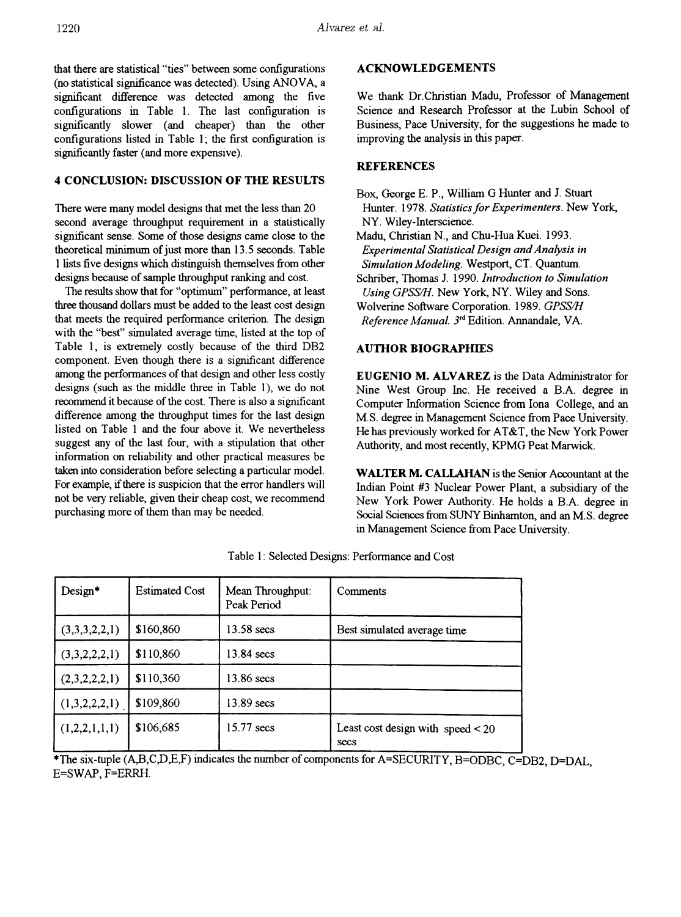that there are statistical "ties" between some configurations (no statistical significance was detected). Using ANOVA, a significant difference was detected among the five configurations in Table 1. The last configuration is significantly slower (and cheaper) than the other configurations listed in Table 1; the first configuration is significantly faster (and more expensive).

### 4 CONCLUSION: DISCUSSION OF THE RESULTS

There were many model designs that met the less than 20 second average throughput requirement in a statistically significant sense. Some of those designs came close to the theoretical minimum of just more than 13.5 seconds. Table 1 lists five designs which distinguish themselves from other designs because of sample throughput ranking and cost.

The results show that for "optimum" performance, at least three thousand dollars must be added to the least cost design that meets the required performance criterion. The design with the "best" simulated average time, listed at the top of Table 1, is extremely costly because of the third DB2 component. Even though there is a significant difference among the performances of that design and other less costly designs (such as the middle three in Table 1), we do not recommend it because of the cost. There is also a significant difference among the throughput times for the last design listed on Table 1 and the four above it. We nevertheless suggest any of the last four, with a stipulation that other information on reliability and other practical measures be taken into consideration before selecting a particular model. For example, if there is suspicion that the error handlers will not be very reliable, given their cheap cost, we recommend purchasing more of them than may be needed.

# **ACKNOWLEDGEMENTS**

We thank Dr.Christian Madu, Professor of Management Science and Research Professor at the Lubin School of Business, Pace University, for the suggestions he made to improving the analysis in this paper.

### **REFERENCES**

Box, George E. P., William G Hunter and J. Stuart Hunter. 1978. *Statistics for Experimenters*. New York, NY. Wiley-Interscience.

Madu, Christian N., and Chu-Hua Kuei. 1993. *Experimental Statistical Design andAnalysis in Simulation Modeling.* Westport, CT. Quantum.

Schriber, Thomas 1. 1990. *Introduction to Simulation Using GPSSIH.* New York, NY. Wiley and Sons. Wolverine Software Corporation. 1989. *GPSSIH*

*Reference Manual.* 3rd Edition. Annandale, VA.

### AUTHOR BIOGRAPHIES

EUGENIO M. ALVAREZ is the Data Administrator for Nine West Group Inc. He received a B.A. degree in Computer Information Science from lona College, and an M.S. degree in Management Science from Pace University. He has previously worked for AT&T, the New York Power Authority, and most recently, KPMG Peat Marwick.

WALTER M. CALLAHAN is the Senior Accountant at the Indian Point #3 Nuclear Power Plant, a subsidiary of the New York Power Authority. He holds a B.A. degree in Social Sciences from SUNY Binhamton, and an M.S. degree in Management Science from Pace University.

| $Design*$     | <b>Estimated Cost</b> | Mean Throughput:<br>Peak Period | Comments                                    |
|---------------|-----------------------|---------------------------------|---------------------------------------------|
| (3,3,3,2,2,1) | \$160,860             | 13.58 secs                      | Best simulated average time                 |
| (3,3,2,2,2,1) | \$110,860             | 13.84 secs                      |                                             |
| (2,3,2,2,2,1) | \$110,360             | 13.86 secs                      |                                             |
| (1,3,2,2,2,1) | \$109,860             | 13.89 secs                      |                                             |
| (1,2,2,1,1,1) | \$106,685             | 15.77 secs                      | Least cost design with speed $<$ 20<br>secs |

Table 1: Selected Designs: Performance and Cost

\*The six-tuple (A,B,C,D,E,F) indicates the number of components for A=SECURITY, B=ODBC, C=DB2, D=DAL, E=SWAP, F=ERRH.